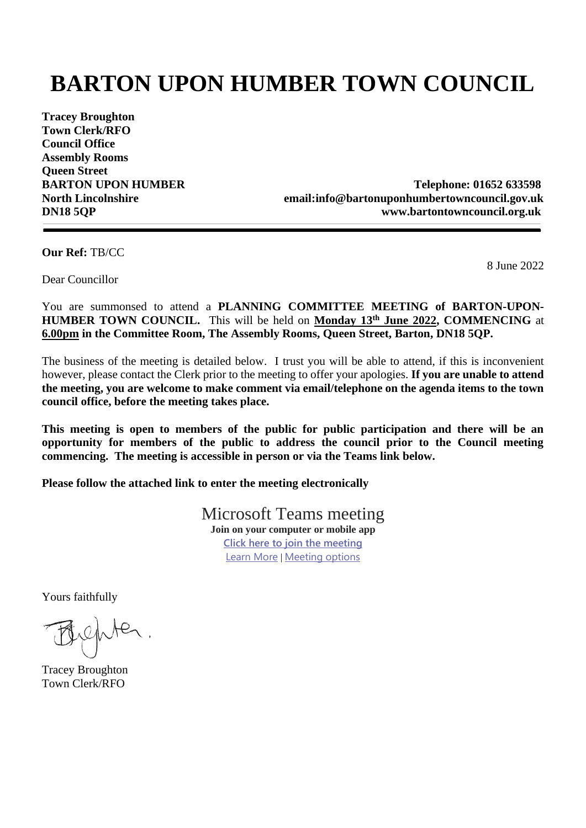# **BARTON UPON HUMBER TOWN COUNCIL**

**Tracey Broughton Town Clerk/RFO Council Office Assembly Rooms Queen Street**

**BARTON UPON HUMBER Telephone: 01652 633598 North Lincolnshire email:info@bartonuponhumbertowncouncil.gov.uk DN18 5QP www.bartontowncouncil.org.uk**

**Our Ref:** TB/CC

8 June 2022

Dear Councillor

You are summonsed to attend a **PLANNING COMMITTEE MEETING of BARTON-UPON-HUMBER TOWN COUNCIL.** This will be held on **Monday 13th June 2022, COMMENCING** at **6.00pm in the Committee Room, The Assembly Rooms, Queen Street, Barton, DN18 5QP.**

The business of the meeting is detailed below. I trust you will be able to attend, if this is inconvenient however, please contact the Clerk prior to the meeting to offer your apologies. **If you are unable to attend the meeting, you are welcome to make comment via email/telephone on the agenda items to the town council office, before the meeting takes place.**

**This meeting is open to members of the public for public participation and there will be an opportunity for members of the public to address the council prior to the Council meeting commencing. The meeting is accessible in person or via the Teams link below.**

**Please follow the attached link to enter the meeting electronically**

Microsoft Teams meeting **Join on your computer or mobile app [Click here to join the meeting](https://teams.microsoft.com/l/meetup-join/19%3ab0129e903e9a420889643cb6a08264b4%40thread.tacv2/1654598980060?context=%7b%22Tid%22%3a%22044d0e21-a81f-463a-b369-a8db7b6dab46%22%2c%22Oid%22%3a%227d1af9aa-2513-4d38-a2d5-69d3aa501c5b%22%7d)** [Learn More](https://aka.ms/JoinTeamsMeeting) | [Meeting options](https://teams.microsoft.com/meetingOptions/?organizerId=7d1af9aa-2513-4d38-a2d5-69d3aa501c5b&tenantId=044d0e21-a81f-463a-b369-a8db7b6dab46&threadId=19_b0129e903e9a420889643cb6a08264b4@thread.tacv2&messageId=1654598980060&language=en-US)

Yours faithfully

refuter.

Tracey Broughton Town Clerk/RFO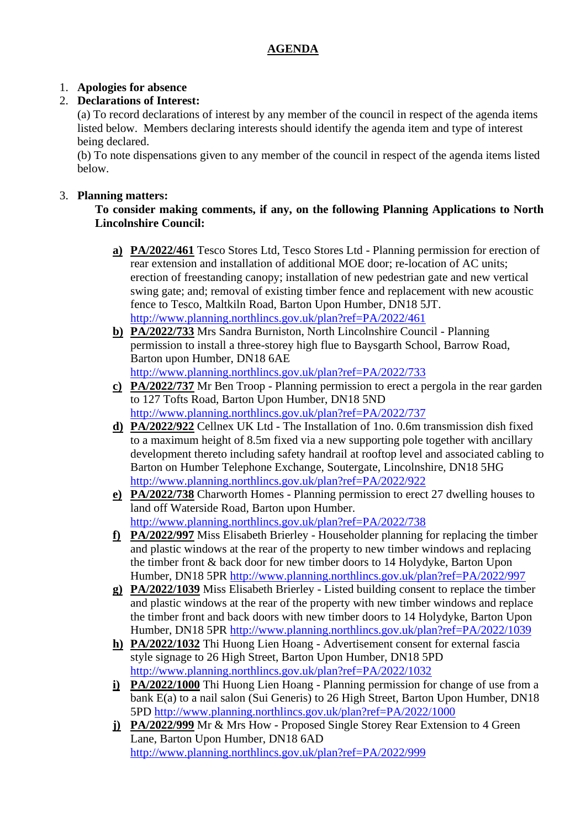### **AGENDA**

## 1. **Apologies for absence**

## 2. **Declarations of Interest:**

(a) To record declarations of interest by any member of the council in respect of the agenda items listed below.Members declaring interests should identify the agenda item and type of interest being declared.

(b) To note dispensations given to any member of the council in respect of the agenda items listed below.

#### 3. **Planning matters:**

#### **To consider making comments, if any, on the following Planning Applications to North Lincolnshire Council:**

- **a) PA/2022/461** Tesco Stores Ltd, Tesco Stores Ltd Planning permission for erection of rear extension and installation of additional MOE door; re-location of AC units; erection of freestanding canopy; installation of new pedestrian gate and new vertical swing gate; and; removal of existing timber fence and replacement with new acoustic fence to Tesco, Maltkiln Road, Barton Upon Humber, DN18 5JT. <http://www.planning.northlincs.gov.uk/plan?ref=PA/2022/461>
- **b) PA/2022/733** Mrs Sandra Burniston, North Lincolnshire Council Planning permission to install a three-storey high flue to Baysgarth School, Barrow Road, Barton upon Humber, DN18 6AE <http://www.planning.northlincs.gov.uk/plan?ref=PA/2022/733>
- **c) PA/2022/737** Mr Ben Troop Planning permission to erect a pergola in the rear garden to 127 Tofts Road, Barton Upon Humber, DN18 5ND <http://www.planning.northlincs.gov.uk/plan?ref=PA/2022/737>
- **d) PA/2022/922** Cellnex UK Ltd The Installation of 1no. 0.6m transmission dish fixed to a maximum height of 8.5m fixed via a new supporting pole together with ancillary development thereto including safety handrail at rooftop level and associated cabling to Barton on Humber Telephone Exchange, Soutergate, Lincolnshire, DN18 5HG <http://www.planning.northlincs.gov.uk/plan?ref=PA/2022/922>
- **e) PA/2022/738** Charworth Homes Planning permission to erect 27 dwelling houses to land off Waterside Road, Barton upon Humber. <http://www.planning.northlincs.gov.uk/plan?ref=PA/2022/738>
- **f) PA/2022/997** Miss Elisabeth Brierley Householder planning for replacing the timber and plastic windows at the rear of the property to new timber windows and replacing the timber front & back door for new timber doors to 14 Holydyke, Barton Upon Humber, DN18 5PR<http://www.planning.northlincs.gov.uk/plan?ref=PA/2022/997>
- **g) PA/2022/1039** Miss Elisabeth Brierley Listed building consent to replace the timber and plastic windows at the rear of the property with new timber windows and replace the timber front and back doors with new timber doors to 14 Holydyke, Barton Upon Humber, DN18 5PR<http://www.planning.northlincs.gov.uk/plan?ref=PA/2022/1039>
- **h) PA/2022/1032** Thi Huong Lien Hoang Advertisement consent for external fascia style signage to 26 High Street, Barton Upon Humber, DN18 5PD <http://www.planning.northlincs.gov.uk/plan?ref=PA/2022/1032>
- **i) PA/2022/1000** Thi Huong Lien Hoang Planning permission for change of use from a bank E(a) to a nail salon (Sui Generis) to 26 High Street, Barton Upon Humber, DN18 5PD<http://www.planning.northlincs.gov.uk/plan?ref=PA/2022/1000>
- **j) PA/2022/999** Mr & Mrs How Proposed Single Storey Rear Extension to 4 Green Lane, Barton Upon Humber, DN18 6AD <http://www.planning.northlincs.gov.uk/plan?ref=PA/2022/999>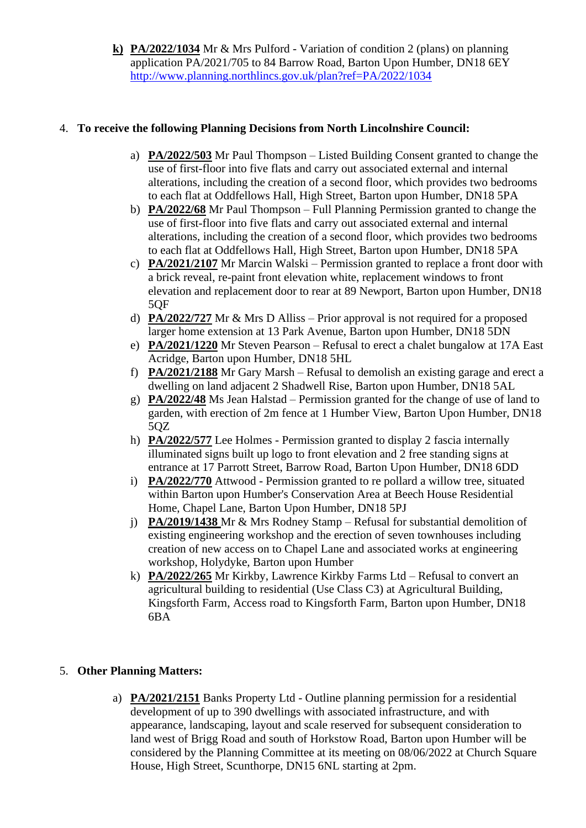**k) PA/2022/1034** Mr & Mrs Pulford - Variation of condition 2 (plans) on planning application PA/2021/705 to 84 Barrow Road, Barton Upon Humber, DN18 6EY <http://www.planning.northlincs.gov.uk/plan?ref=PA/2022/1034>

#### 4. **To receive the following Planning Decisions from North Lincolnshire Council:**

- a) **PA/2022/503** Mr Paul Thompson Listed Building Consent granted to change the use of first-floor into five flats and carry out associated external and internal alterations, including the creation of a second floor, which provides two bedrooms to each flat at Oddfellows Hall, High Street, Barton upon Humber, DN18 5PA
- b) **PA/2022/68** Mr Paul Thompson Full Planning Permission granted to change the use of first-floor into five flats and carry out associated external and internal alterations, including the creation of a second floor, which provides two bedrooms to each flat at Oddfellows Hall, High Street, Barton upon Humber, DN18 5PA
- c) **PA/2021/2107** Mr Marcin Walski Permission granted to replace a front door with a brick reveal, re-paint front elevation white, replacement windows to front elevation and replacement door to rear at 89 Newport, Barton upon Humber, DN18 5QF
- d) **PA/2022/727** Mr & Mrs D Alliss Prior approval is not required for a proposed larger home extension at 13 Park Avenue, Barton upon Humber, DN18 5DN
- e) **PA/2021/1220** Mr Steven Pearson Refusal to erect a chalet bungalow at 17A East Acridge, Barton upon Humber, DN18 5HL
- f) **PA/2021/2188** Mr Gary Marsh Refusal to demolish an existing garage and erect a dwelling on land adjacent 2 Shadwell Rise, Barton upon Humber, DN18 5AL
- g) **PA/2022/48** Ms Jean Halstad Permission granted for the change of use of land to garden, with erection of 2m fence at 1 Humber View, Barton Upon Humber, DN18 5QZ
- h) **PA/2022/577** Lee Holmes Permission granted to display 2 fascia internally illuminated signs built up logo to front elevation and 2 free standing signs at entrance at 17 Parrott Street, Barrow Road, Barton Upon Humber, DN18 6DD
- i) **PA/2022/770** Attwood Permission granted to re pollard a willow tree, situated within Barton upon Humber's Conservation Area at Beech House Residential Home, Chapel Lane, Barton Upon Humber, DN18 5PJ
- j) **PA/2019/1438** Mr & Mrs Rodney Stamp Refusal for substantial demolition of existing engineering workshop and the erection of seven townhouses including creation of new access on to Chapel Lane and associated works at engineering workshop, Holydyke, Barton upon Humber
- k) **PA/2022/265** Mr Kirkby, Lawrence Kirkby Farms Ltd Refusal to convert an agricultural building to residential (Use Class C3) at Agricultural Building, Kingsforth Farm, Access road to Kingsforth Farm, Barton upon Humber, DN18 6BA

## 5. **Other Planning Matters:**

a) **PA/2021/2151** Banks Property Ltd - Outline planning permission for a residential development of up to 390 dwellings with associated infrastructure, and with appearance, landscaping, layout and scale reserved for subsequent consideration to land west of Brigg Road and south of Horkstow Road, Barton upon Humber will be considered by the Planning Committee at its meeting on 08/06/2022 at Church Square House, High Street, Scunthorpe, DN15 6NL starting at 2pm.